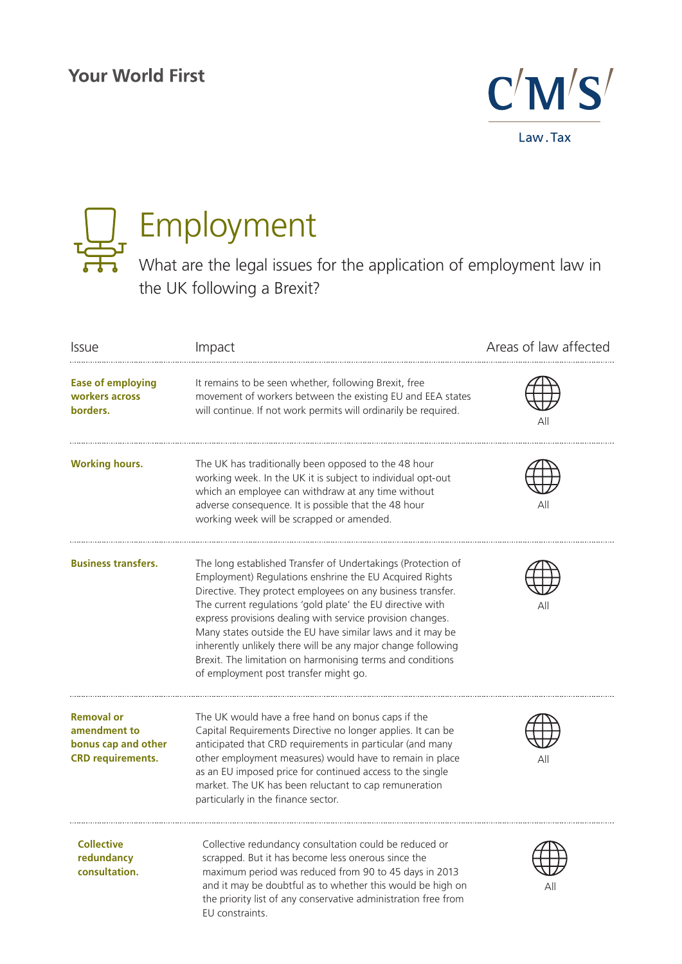# **Your World First**





# Employment

What are the legal issues for the application of employment law in the UK following a Brexit?

| <b>Issue</b>                                                                         | Impact                                                                                                                                                                                                                                                                                                                                                                                                                                                                                                                                                  | Areas of law affected |
|--------------------------------------------------------------------------------------|---------------------------------------------------------------------------------------------------------------------------------------------------------------------------------------------------------------------------------------------------------------------------------------------------------------------------------------------------------------------------------------------------------------------------------------------------------------------------------------------------------------------------------------------------------|-----------------------|
| <b>Ease of employing</b><br>workers across<br>borders.                               | It remains to be seen whether, following Brexit, free<br>movement of workers between the existing EU and EEA states<br>will continue. If not work permits will ordinarily be required.                                                                                                                                                                                                                                                                                                                                                                  | Αll                   |
| <b>Working hours.</b>                                                                | The UK has traditionally been opposed to the 48 hour<br>working week. In the UK it is subject to individual opt-out<br>which an employee can withdraw at any time without<br>adverse consequence. It is possible that the 48 hour<br>working week will be scrapped or amended.                                                                                                                                                                                                                                                                          |                       |
| <b>Business transfers.</b>                                                           | The long established Transfer of Undertakings (Protection of<br>Employment) Regulations enshrine the EU Acquired Rights<br>Directive. They protect employees on any business transfer.<br>The current regulations 'gold plate' the EU directive with<br>express provisions dealing with service provision changes.<br>Many states outside the EU have similar laws and it may be<br>inherently unlikely there will be any major change following<br>Brexit. The limitation on harmonising terms and conditions<br>of employment post transfer might go. | Αll                   |
| <b>Removal or</b><br>amendment to<br>bonus cap and other<br><b>CRD</b> requirements. | The UK would have a free hand on bonus caps if the<br>Capital Requirements Directive no longer applies. It can be<br>anticipated that CRD requirements in particular (and many<br>other employment measures) would have to remain in place<br>as an EU imposed price for continued access to the single<br>market. The UK has been reluctant to cap remuneration<br>particularly in the finance sector.                                                                                                                                                 | Αll                   |
| <b>Collective</b><br>redundancy<br>consultation.                                     | Collective redundancy consultation could be reduced or<br>scrapped. But it has become less onerous since the<br>maximum period was reduced from 90 to 45 days in 2013<br>and it may be doubtful as to whether this would be high on<br>the priority list of any conservative administration free from<br>EU constraints.                                                                                                                                                                                                                                | Αll                   |